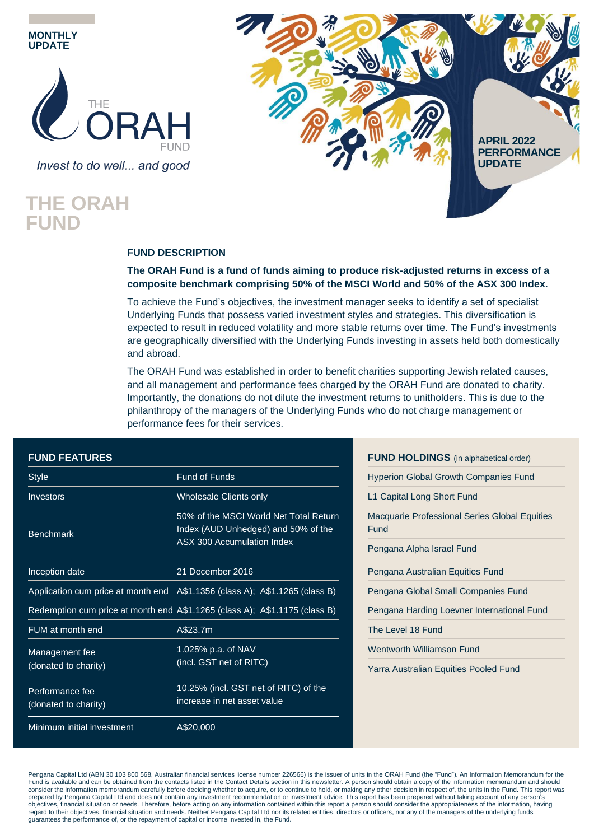

Invest to do well... and good

## **THE ORAH FUND**



### **FUND DESCRIPTION**

#### **The ORAH Fund is a fund of funds aiming to produce risk-adjusted returns in excess of a composite benchmark comprising 50% of the MSCI World and 50% of the ASX 300 Index.**

To achieve the Fund's objectives, the investment manager seeks to identify a set of specialist Underlying Funds that possess varied investment styles and strategies. This diversification is expected to result in reduced volatility and more stable returns over time. The Fund's investments are geographically diversified with the Underlying Funds investing in assets held both domestically and abroad.

The ORAH Fund was established in order to benefit charities supporting Jewish related causes, and all management and performance fees charged by the ORAH Fund are donated to charity. Importantly, the donations do not dilute the investment returns to unitholders. This is due to the philanthropy of the managers of the Underlying Funds who do not charge management or performance fees for their services.

| <b>FUND FEATURES</b>       |                                                                               | <b>FUND HOLDINGS</b> (in alphabetical order)         |
|----------------------------|-------------------------------------------------------------------------------|------------------------------------------------------|
| <b>Style</b>               | <b>Fund of Funds</b>                                                          | <b>Hyperion Global Growth Companies Fund</b>         |
| <b>Investors</b>           | <b>Wholesale Clients only</b>                                                 | L1 Capital Long Short Fund                           |
| <b>Benchmark</b>           | 50% of the MSCI World Net Total Return<br>Index (AUD Unhedged) and 50% of the | Macquarie Professional Series Global Equitie<br>Fund |
|                            | ASX 300 Accumulation Index                                                    | Pengana Alpha Israel Fund                            |
| Inception date             | 21 December 2016                                                              | Pengana Australian Equities Fund                     |
|                            | Application cum price at month end A\$1.1356 (class A); A\$1.1265 (class B)   | Pengana Global Small Companies Fund                  |
|                            | Redemption cum price at month end A\$1.1265 (class A); A\$1.1175 (class B)    | Pengana Harding Loevner International Fund           |
| FUM at month end           | A\$23.7m                                                                      | The Level 18 Fund                                    |
| Management fee             | 1.025% p.a. of NAV                                                            | <b>Wentworth Williamson Fund</b>                     |
| (donated to charity)       | (incl. GST net of RITC)                                                       | Yarra Australian Equities Pooled Fund                |
| Performance fee            | 10.25% (incl. GST net of RITC) of the<br>increase in net asset value          |                                                      |
| (donated to charity)       |                                                                               |                                                      |
| Minimum initial investment | A\$20,000                                                                     |                                                      |

|      | <b>FUND HOLDINGS</b> (in alphabetical order)         |
|------|------------------------------------------------------|
|      | <b>Hyperion Global Growth Companies Fund</b>         |
|      | L1 Capital Long Short Fund                           |
| Fund | <b>Macquarie Professional Series Global Equities</b> |
|      | Pengana Alpha Israel Fund                            |
|      | Pengana Australian Equities Fund                     |
|      | Pengana Global Small Companies Fund                  |
|      | Pengana Harding Loevner International Fund           |
|      | The Level 18 Fund                                    |
|      | Wentworth Williamson Fund                            |
|      | Yarra Australian Equities Pooled Fund                |

Pengana Capital Ltd (ABN 30 103 800 568, Australian financial services license number 226566) is the issuer of units in the ORAH Fund (the "Fund"). An Information Memorandum for the Fund is available and can be obtained from the contacts listed in the Contact Details section in this newsletter. A person should obtain a copy of the information memorandum and should consider the information memorandum carefully before deciding whether to acquire, or to continue to hold, or making any other decision in respect of, the units in the Fund. This report was prepared by Pengana Capital Ltd and does not contain any investment recommendation or investment advice. This report has been prepared without taking account of any person's objectives, financial situation or needs. Therefore, before acting on any information contained within this report a person should consider the appropriateness of the information, having<br>regard to their objectives, financi guarantees the performance of, or the repayment of capital or income invested in, the Fund.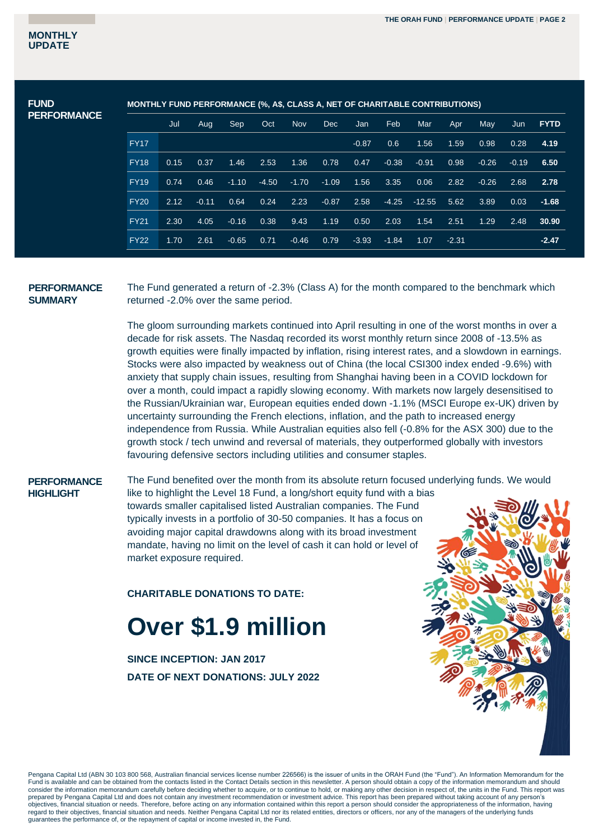| <b>MONTHLY FUND PERFORMANCE (%, A\$, CLASS A, NET OF CHARITABLE CONTRIBUTIONS)</b> |      |         |         |         |            |         |         |         |          |         |         |         |             |
|------------------------------------------------------------------------------------|------|---------|---------|---------|------------|---------|---------|---------|----------|---------|---------|---------|-------------|
|                                                                                    | Jul  | Aug     | Sep.    | Oct     | <b>Nov</b> | Dec     | Jan     | Feb     | Mar      | Apr     | May     | Jun     | <b>FYTD</b> |
| <b>FY17</b>                                                                        |      |         |         |         |            |         | $-0.87$ | 0.6     | 1.56     | 1.59    | 0.98    | 0.28    | 4.19        |
| <b>FY18</b>                                                                        | 0.15 | 0.37    | 1.46    | 2.53    | 1.36       | 0.78    | 0.47    | $-0.38$ | $-0.91$  | 0.98    | $-0.26$ | $-0.19$ | 6.50        |
| <b>FY19</b>                                                                        | 0.74 | 0.46    | $-1.10$ | $-4.50$ | $-1.70$    | $-1.09$ | 1.56    | 3.35    | 0.06     | 2.82    | $-0.26$ | 2.68    | 2.78        |
| <b>FY20</b>                                                                        | 2.12 | $-0.11$ | 0.64    | 0.24    | 2.23       | $-0.87$ | 2.58    | $-4.25$ | $-12.55$ | 5.62    | 3.89    | 0.03    | $-1.68$     |
| <b>FY21</b>                                                                        | 2.30 | 4.05    | $-0.16$ | 0.38    | 9.43       | 1.19    | 0.50    | 2.03    | 1.54     | 2.51    | 1.29    | 2.48    | 30.90       |
| <b>FY22</b>                                                                        | 1.70 | 2.61    | $-0.65$ | 0.71    | $-0.46$    | 0.79    | $-3.93$ | $-1.84$ | 1.07     | $-2.31$ |         |         | $-2.47$     |
|                                                                                    |      |         |         |         |            |         |         |         |          |         |         |         |             |

#### **PERFORMANCE SUMMARY**

The Fund generated a return of -2.3% (Class A) for the month compared to the benchmark which returned -2.0% over the same period.

The gloom surrounding markets continued into April resulting in one of the worst months in over a decade for risk assets. The Nasdaq recorded its worst monthly return since 2008 of -13.5% as growth equities were finally impacted by inflation, rising interest rates, and a slowdown in earnings. Stocks were also impacted by weakness out of China (the local CSI300 index ended -9.6%) with anxiety that supply chain issues, resulting from Shanghai having been in a COVID lockdown for over a month, could impact a rapidly slowing economy. With markets now largely desensitised to the Russian/Ukrainian war, European equities ended down -1.1% (MSCI Europe ex-UK) driven by uncertainty surrounding the French elections, inflation, and the path to increased energy independence from Russia. While Australian equities also fell (-0.8% for the ASX 300) due to the growth stock / tech unwind and reversal of materials, they outperformed globally with investors favouring defensive sectors including utilities and consumer staples.

#### **PERFORMANCE HIGHLIGHT**

The Fund benefited over the month from its absolute return focused underlying funds. We would

like to highlight the Level 18 Fund, a long/short equity fund with a bias towards smaller capitalised listed Australian companies. The Fund typically invests in a portfolio of 30-50 companies. It has a focus on avoiding major capital drawdowns along with its broad investment mandate, having no limit on the level of cash it can hold or level of market exposure required.

**CHARITABLE DONATIONS TO DATE:**

# **Over \$1.9 million**

**SINCE INCEPTION: JAN 2017 DATE OF NEXT DONATIONS: JULY 2022**



Pengana Capital Ltd (ABN 30 103 800 568, Australian financial services license number 226566) is the issuer of units in the ORAH Fund (the "Fund"). An Information Memorandum for the Fund is available and can be obtained from the contacts listed in the Contact Details section in this newsletter. A person should obtain a copy of the information memorandum and should consider the information memorandum carefully before deciding whether to acquire, or to continue to hold, or making any other decision in respect of, the units in the Fund. This report was prepared by Pengana Capital Ltd and does not contain any investment recommendation or investment advice. This report has been prepared without taking account of any person's objectives, financial situation or needs. Therefore, before acting on any information contained within this report a person should consider the appropriateness of the information, having regard to their objectives, financial situation and needs. Neither Pengana Capital Ltd nor its related entities, directors or officers, nor any of the managers of the underlying funds guarantees the performance of, or the repayment of capital or income invested in, the Fund.